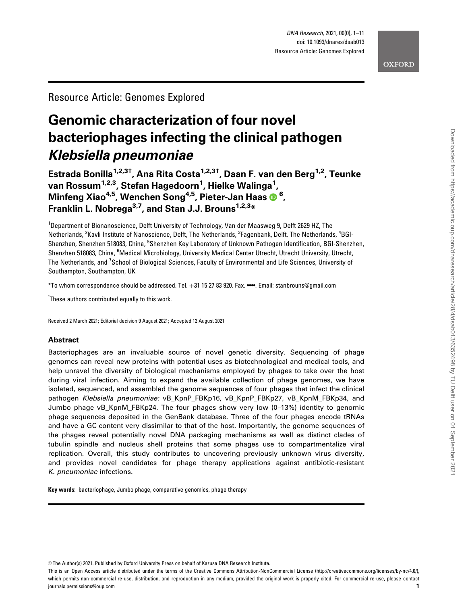# Resource Article: Genomes Explored

# Genomic characterization of four novel bacteriophages infecting the clinical pathogen Klebsiella pneumoniae

Estrada Bonilla<sup>1,2,3†</sup>, Ana Rita Costa<sup>1,2,3†</sup>, Daan F. van den Berg<sup>1,2</sup>, Teunke van Rossum<sup>1,2,3</sup>, Stefan Hagedoorn<sup>1</sup>, Hielke Walinga<sup>1</sup>, Minfeng Xiao4,5, Wenchen Song4,5, Pieter-Jan Haas <sup>6</sup> , Franklin L. Nobrega<sup>3,7</sup>, and Stan J.J. Brouns<sup>1,2,3\*</sup>

<sup>1</sup>Department of Bionanoscience, Delft University of Technology, Van der Maasweg 9, Delft 2629 HZ, The Netherlands, <sup>2</sup>Kavli Institute of Nanoscience, Delft, The Netherlands, <sup>3</sup>Fagenbank, Delft, The Netherlands, <sup>4</sup>BGI-Shenzhen, Shenzhen 518083, China, <sup>5</sup>Shenzhen Key Laboratory of Unknown Pathogen Identification, BGI-Shenzhen, Shenzhen 518083, China, <sup>6</sup>Medical Microbiology, University Medical Center Utrecht, Utrecht University, Utrecht, The Netherlands, and <sup>7</sup>School of Biological Sciences, Faculty of Environmental and Life Sciences, University of Southampton, Southampton, UK

\*To whom correspondence should be addressed. Tel. þ31 15 27 83 920. Fax. ••••. Email: stanbrouns@gmail.com

 $^\text{\tiny \rm t}$ These authors contributed equally to this work.

Received 2 March 2021; Editorial decision 9 August 2021; Accepted 12 August 2021

#### Abstract

Bacteriophages are an invaluable source of novel genetic diversity. Sequencing of phage genomes can reveal new proteins with potential uses as biotechnological and medical tools, and help unravel the diversity of biological mechanisms employed by phages to take over the host during viral infection. Aiming to expand the available collection of phage genomes, we have isolated, sequenced, and assembled the genome sequences of four phages that infect the clinical pathogen Klebsiella pneumoniae: vB\_KpnP\_FBKp16, vB\_KpnP\_FBKp27, vB\_KpnM\_FBKp34, and Jumbo phage vB\_KpnM\_FBKp24. The four phages show very low (0–13%) identity to genomic phage sequences deposited in the GenBank database. Three of the four phages encode tRNAs and have a GC content very dissimilar to that of the host. Importantly, the genome sequences of the phages reveal potentially novel DNA packaging mechanisms as well as distinct clades of tubulin spindle and nucleus shell proteins that some phages use to compartmentalize viral replication. Overall, this study contributes to uncovering previously unknown virus diversity, and provides novel candidates for phage therapy applications against antibiotic-resistant K. pneumoniae infections.

Key words: bacteriophage, Jumbo phage, comparative genomics, phage therapy

© The Author(s) 2021. Published by Oxford University Press on behalf of Kazusa DNA Research Institute.

This is an Open Access article distributed under the terms of the Creative Commons Attribution-NonCommercial License (http://creativecommons.org/licenses/by-nc/4.0/), which permits non-commercial re-use, distribution, and reproduction in any medium, provided the original work is properly cited. For commercial re-use, please contact journals.permissions@oup.com 1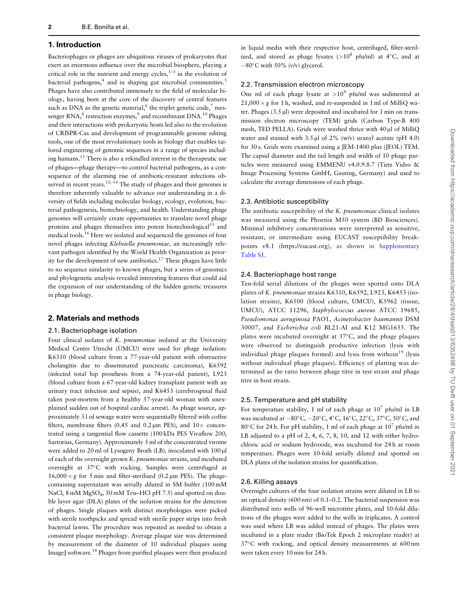# <span id="page-1-0"></span>1. Introduction

Bacteriophages or phages are ubiquitous viruses of prokaryotes that exert an enormous influence over the microbial biosphere, playing a critical role in the nutrient and energy cycles, $1-3$  in the evolution of bacterial pathogens, $4$  and in shaping gut microbial communities.<sup>[5](#page-9-0)</sup> Phages have also contributed immensely to the field of molecular biology, having been at the core of the discovery of central features such as DNA as the genetic material,  $6$  the triplet genetic code, $7$  messenger  $RNA$ ,<sup>[8](#page-9-0)</sup> restriction enzymes, $\frac{9}{2}$  $\frac{9}{2}$  $\frac{9}{2}$  and recombinant  $DNA$ .<sup>[10](#page-9-0)</sup> Phages and their interactions with prokaryotic hosts led also to the evolution of CRISPR-Cas and development of programmable genome editing tools, one of the most revolutionary tools in biology that enables tailored engineering of genomic sequences in a range of species including humans.[11](#page-9-0) There is also a rekindled interest in the therapeutic use of phages—phage therapy—to control bacterial pathogens, as a consequence of the alarming rise of antibiotic-resistant infections observed in recent years.<sup>12–14</sup> The study of phages and their genomes is therefore inherently valuable to advance our understanding in a diversity of fields including molecular biology, ecology, evolution, bacterial pathogenesis, biotechnology, and health. Understanding phage genomes will certainly create opportunities to translate novel phage proteins and phages themselves into potent biotechnological<sup>15</sup> and medical tools.<sup>16</sup> Here we isolated and sequenced the genomes of four novel phages infecting Klebsiella pneumoniae, an increasingly relevant pathogen identified by the World Health Organization as prior-ity for the development of new antibiotics.<sup>[17](#page-9-0)</sup> These phages have little to no sequence similarity to known phages, but a series of genomics and phylogenetic analysis revealed interesting features that could aid the expansion of our understanding of the hidden genetic treasures in phage biology.

# 2. Materials and methods

#### 2.1. Bacteriophage isolation

Four clinical isolates of K. pneumoniae isolated at the University Medical Centre Utrecht (UMCU) were used for phage isolation: K6310 (blood culture from a 77-year-old patient with obstructive cholangitis due to disseminated pancreatic carcinoma), K6592 (infected total hip prosthesis from a 74-year-old patient), L923 (blood culture from a 67-year-old kidney transplant patient with an urinary tract infection and sepsis), and K6453 (cerebrospinal fluid taken post-mortem from a healthy 57-year-old woman with unexplained sudden out of hospital cardiac arrest). As phage source, approximately 5 l of sewage water were sequentially filtered with coffee filters, membrane filters (0.45 and 0.2  $\mu$ m PES), and 10 $\times$  concentrated using a tangential flow cassette (100 kDa PES Vivaflow 200, Sartorius, Germany). Approximately 5 ml of the concentrated virome were added to 20 ml of Lysogeny Broth (LB), inoculated with 100 ml of each of the overnight grown K. pneumoniae strains, and incubated overnight at 37°C with rocking. Samples were centrifuged at  $16,000 \times g$  for 5 min and filter-sterilized (0.2 µm PES). The phagecontaining supernatant was serially diluted in SM buffer (100 mM NaCl, 8 mM MgSO<sub>4</sub>, 50 mM Tris–HCl pH 7.5) and spotted on double layer agar (DLA) plates of the isolation strains for the detection of phages. Single plaques with distinct morphologies were picked with sterile toothpicks and spread with sterile paper strips into fresh bacterial lawns. The procedure was repeated as needed to obtain a consistent plaque morphology. Average plaque size was determined by measurement of the diameter of 10 individual plaques using ImageJ software.<sup>18</sup> Phages from purified plaques were then produced

in liquid media with their respective host, centrifuged, filter-sterilized, and stored as phage lysates  $(>10^8 \text{ pfu/ml})$  at 4°C, and at  $-80^{\circ}$ C with 50% (v/v) glycerol.

#### 2.2. Transmission electron microscopy

One ml of each phage lysate at  $>10^9$  pfu/ml was sedimented at 21,000  $\times$  g for 1 h, washed, and re-suspended in 1 ml of MilliQ water. Phages (3.5 µl) were deposited and incubated for 1 min on transmission electron microscopy (TEM) grids (Carbon Type-B 400 mesh, TED PELLA). Grids were washed thrice with 40 µl of MilliQ water and stained with  $3.5 \mu$ l of  $2\%$  (w/v) uranyl acetate (pH 4.0) for 30 s. Grids were examined using a JEM-1400 plus (JEOL) TEM. The capsid diameter and the tail length and width of 10 phage particles were measured using EMMENU v4.0.9.8.7 (Tietz Video & Image Processing Systems GmbH, Gauting, Germany) and used to calculate the average dimensions of each phage.

#### 2.3. Antibiotic susceptibility

The antibiotic susceptibility of the K. pneumoniae clinical isolates was measured using the Phoenix M50 system (BD Biosciences). Minimal inhibitory concentrations were interpreted as sensitive, resistant, or intermediate using EUCAST susceptibility breakpoints v8.1 (<https://eucast.org>), as shown in [Supplementary](https://academic.oup.com/dnaresearch/article-lookup/doi/10.1093/dnares/dsab013#supplementary-data) [Table S1](https://academic.oup.com/dnaresearch/article-lookup/doi/10.1093/dnares/dsab013#supplementary-data).

## 2.4. Bacteriophage host range

Ten-fold serial dilutions of the phages were spotted onto DLA plates of K. pneumoniae strains K6310, K6592, L923, K6453 (isolation strains), K6500 (blood culture, UMCU), K5962 (tissue, UMCU), ATCC 11296, Staphylococcus aureus ATCC 19685, Pseudomonas aeruginosa PAO1, Acinetobacter baumannii DSM 30007, and Escherichia coli BL21-AI and K12 MG1655. The plates were incubated overnight at  $37^{\circ}$ C, and the phage plaques were observed to distinguish productive infection (lysis with individual phage plaques formed) and lysis from without<sup>[19](#page-9-0)</sup> (lysis without individual phage plaques). Efficiency of platting was determined as the ratio between phage titre in test strain and phage titre in host strain.

#### 2.5. Temperature and pH stability

For temperature stability, 1 ml of each phage at  $10^7$  pfu/ml in LB was incubated at  $-80^{\circ}$ C,  $-20^{\circ}$ C,  $4^{\circ}$ C,  $16^{\circ}$ C,  $22^{\circ}$ C,  $37^{\circ}$ C,  $50^{\circ}$ C, and 80 $\degree$ C for 24 h. For pH stability, 1 ml of each phage at 10<sup>7</sup> pfu/ml in LB adjusted to a pH of 2, 4, 6, 7, 8, 10, and 12 with either hydrochloric acid or sodium hydroxide, was incubated for 24 h at room temperature. Phages were 10-fold serially diluted and spotted on DLA plates of the isolation strains for quantification.

#### 2.6. Killing assays

Overnight cultures of the four isolation strains were diluted in LB to an optical density (600 nm) of 0.1–0.2. The bacterial suspension was distributed into wells of 96-well microtitre plates, and 10-fold dilutions of the phages were added to the wells in triplicates. A control was used where LB was added instead of phages. The plates were incubated in a plate reader (BioTek Epoch 2 microplate reader) at  $37^{\circ}$ C with rocking, and optical density measurements at  $600$  nm were taken every 10 min for 24 h.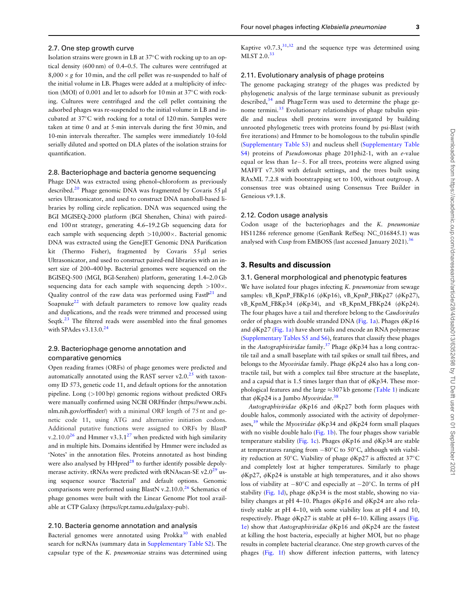<span id="page-2-0"></span>Isolation strains were grown in LB at  $37^{\circ}$ C with rocking up to an optical density (600 nm) of 0.4–0.5. The cultures were centrifuged at  $8,000 \times g$  for 10 min, and the cell pellet was re-suspended to half of the initial volume in LB. Phages were added at a multiplicity of infection (MOI) of 0.001 and let to adsorb for 10 min at 37°C with rocking. Cultures were centrifuged and the cell pellet containing the adsorbed phages was re-suspended to the initial volume in LB and incubated at 37°C with rocking for a total of 120 min. Samples were taken at time 0 and at 5-min intervals during the first 30 min, and 10-min intervals thereafter. The samples were immediately 10-fold serially diluted and spotted on DLA plates of the isolation strains for quantification.

#### 2.8. Bacteriophage and bacteria genome sequencing

Phage DNA was extracted using phenol–chloroform as previously described.<sup>[20](#page-9-0)</sup> Phage genomic DNA was fragmented by Covaris 55 µl series Ultrasonicator, and used to construct DNA nanoball-based libraries by rolling circle replication. DNA was sequenced using the BGI MGISEQ-2000 platform (BGI Shenzhen, China) with pairedend 100 nt strategy, generating 4.6–19.2 Gb sequencing data for each sample with sequencing depth >10,000×. Bacterial genomic DNA was extracted using the GeneJET Genomic DNA Purification kit (Thermo Fisher), fragmented by Covaris 55 µl series Ultrasonicator, and used to construct paired-end libraries with an insert size of 200–400 bp. Bacterial genomes were sequenced on the BGISEQ-500 (MGI, BGI-Senzhen) platform, generating 1.4–2.0 Gb sequencing data for each sample with sequencing depth  $>100\times$ . Quality control of the raw data was performed using  $FastP<sup>21</sup>$  and Soapnuke<sup>[22](#page-9-0)</sup> with default parameters to remove low quality reads and duplications, and the reads were trimmed and processed using Seqtk. $^{23}$  The filtered reads were assembled into the final genomes with SPAdes v3.13.0. $24$ 

# 2.9. Bacteriophage genome annotation and comparative genomics

Open reading frames (ORFs) of phage genomes were predicted and automatically annotated using the RAST server  $v2.0$ .<sup>25</sup> with taxonomy ID 573, genetic code 11, and default options for the annotation pipeline. Long (>100 bp) genomic regions without predicted ORFs were manually confirmed using NCBI ORFfinder [\(https://www.ncbi.](https://www.ncbi.nlm.nih.gov/orffinder/) [nlm.nih.gov/orffinder/](https://www.ncbi.nlm.nih.gov/orffinder/)) with a minimal ORF length of 75 nt and genetic code 11, using ATG and alternative initiation codons. Additional putative functions were assigned to ORFs by BlastP v.2.10.0<sup>26</sup> and Hmmer v3.3.1<sup>[27](#page-10-0)</sup> when predicted with high similarity and in multiple hits. Domains identified by Hmmer were included as 'Notes' in the annotation files. Proteins annotated as host binding were also analysed by  $HHpred^{28}$  $HHpred^{28}$  $HHpred^{28}$  to further identify possible depolymerase activity.  $tRNAs$  were predicted with  $tRNAs$ can-SE v2.0<sup>[29](#page-10-0)</sup> using sequence source 'Bacterial' and default options. Genomic comparisons were performed using BlastN v.2.10.0.<sup>26</sup> Schematics of phage genomes were built with the Linear Genome Plot tool available at CTP Galaxy [\(https://cpt.tamu.edu/galaxy-pub\)](https://cpt.tamu.edu/galaxy-pub).

#### 2.10. Bacteria genome annotation and analysis

Bacterial genomes were annotated using Prokka $30$  with enabled search for ncRNAs (summary data in [Supplementary Table S2\)](https://academic.oup.com/dnaresearch/article-lookup/doi/10.1093/dnares/dsab013#supplementary-data). The capsular type of the K. pneumoniae strains was determined using

Kaptive  $v0.7.3$ ,  $v31.32$  and the sequence type was determined using MLST 2.0.<sup>[33](#page-10-0)</sup>

#### 2.11. Evolutionary analysis of phage proteins

The genome packaging strategy of the phages was predicted by phylogenetic analysis of the large terminase subunit as previously described,<sup>[34](#page-10-0)</sup> and PhageTerm was used to determine the phage genome termini. $35$  Evolutionary relationships of phage tubulin spindle and nucleus shell proteins were investigated by building unrooted phylogenetic trees with proteins found by psi-Blast (with five iterations) and Hmmer to be homologous to the tubulin spindle ([Supplementary Table S3\)](https://academic.oup.com/dnaresearch/article-lookup/doi/10.1093/dnares/dsab013#supplementary-data) and nucleus shell ([Supplementary Table](https://academic.oup.com/dnaresearch/article-lookup/doi/10.1093/dnares/dsab013#supplementary-data) [S4\)](https://academic.oup.com/dnaresearch/article-lookup/doi/10.1093/dnares/dsab013#supplementary-data) proteins of Pseudomonas phage 201phi2-1, with an e-value equal or less than  $1e-5$ . For all trees, proteins were aligned using MAFFT v7.308 with default settings, and the trees built using RAxML 7.2.8 with bootstrapping set to 100, without outgroup. A consensus tree was obtained using Consensus Tree Builder in Geneious v9.1.8.

#### 2.12. Codon usage analysis

Codon usage of the bacteriophages and the K. pneumoniae HS11286 reference genome (GenBank RefSeq: NC\_016845.1) was analysed with Cusp from EMBOSS (last accessed January 2021).<sup>[36](#page-10-0)</sup>

### 3. Results and discussion

#### 3.1. General morphological and phenotypic features

We have isolated four phages infecting K. pneumoniae from sewage samples: vB\_KpnP\_FBKp16 ( $\phi$ Kp16), vB\_KpnP\_FBKp27 ( $\phi$ Kp27), vB\_KpnM\_FBKp34 ( $\phi$ Kp34), and vB\_KpnM\_FBKp24 ( $\phi$ Kp24). The four phages have a tail and therefore belong to the Caudovirales order of phages with double stranded DNA ([Fig. 1a](#page-3-0)). Phages  $\phi$ Kp16 and  $\phi$ Kp27 ([Fig. 1a\)](#page-3-0) have short tails and encode an RNA polymerase ([Supplementary Tables S5 and S6\)](https://academic.oup.com/dnaresearch/article-lookup/doi/10.1093/dnares/dsab013#supplementary-data), features that classify these phages in the Autographiviridae family.<sup>37</sup> Phage  $\phi$ Kp34 has a long contractile tail and a small baseplate with tail spikes or small tail fibres, and belongs to the Myoviridae family. Phage  $\phi$ Kp24 also has a long contractile tail, but with a complex tail fibre structure at the baseplate, and a capsid that is 1.5 times larger than that of  $\phi$ Kp34. These morphological features and the large  $\approx$ 307 kb genome ([Table 1\)](#page-4-0) indicate that  $\phi$ Kp24 is a Jumbo Myoviridae.<sup>[38](#page-10-0)</sup>

Autographiviridae  $\phi$ Kp16 and  $\phi$ Kp27 both form plaques with double halos, commonly associated with the activity of depolymer-ases,<sup>[39](#page-10-0)</sup> while the Myoviridae  $\phi$ Kp34 and  $\phi$ Kp24 form small plaques with no visible double halo [\(Fig. 1b\)](#page-3-0). The four phages show variable temperature stability [\(Fig. 1c](#page-3-0)). Phages  $\phi$ Kp16 and  $\phi$ Kp34 are stable at temperatures ranging from  $-80^{\circ}$ C to 50 $^{\circ}$ C, although with viability reduction at 50°C. Viability of phage  $\phi$ Kp27 is affected at 37°C and completely lost at higher temperatures. Similarly to phage  $\phi$ Kp27,  $\phi$ Kp24 is unstable at high temperatures, and it also shows loss of viability at  $-80^{\circ}$ C and especially at  $-20^{\circ}$ C. In terms of pH stability ([Fig. 1d\)](#page-3-0), phage  $\phi$ Kp34 is the most stable, showing no viability changes at pH 4–10. Phages  $\phi$ Kp16 and  $\phi$ Kp24 are also relatively stable at pH 4–10, with some viability loss at pH 4 and 10, respectively. Phage  $\phi$ Kp27 is stable at pH 6–10. Killing assays [\(Fig.](#page-3-0) [1e](#page-3-0)) show that Autographiviridae  $\phi$ Kp16 and  $\phi$ Kp24 are the fastest at killing the host bacteria, especially at higher MOI, but no phage results in complete bacterial clearance. One step growth curves of the phages [\(Fig. 1f\)](#page-3-0) show different infection patterns, with latency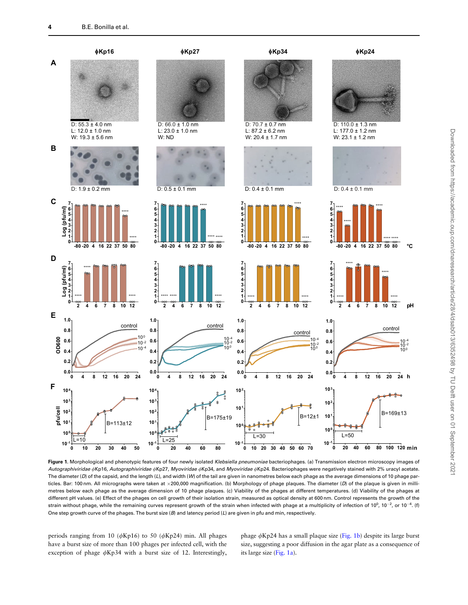<span id="page-3-0"></span>

Figure 1. Morphological and phenotypic features of four newly isolated Klebsiella pneumoniae bacteriophages. (a) Transmission electron microscopy images of Autographiviridae <sub>(\*</sub>Kp16, Autographiviridae <sub>(\*Kp27</sub>, Myoviridae <sub>(\*Kp34</sub>, and Myoviridae <sub>(\*Kp24</sub>. Bacteriophages were negatively stained with 2% uracyl acetate. The diameter (D) of the capsid, and the length (L), and width (W) of the tail are given in nanometres below each phage as the average dimensions of 10 phage particles. Bar: 100 nm. All micrographs were taken at ×200,000 magnification. (b) Morphology of phage plaques. The diameter (*D*) of the plaque is given in millimetres below each phage as the average dimension of 10 phage plaques. (c) Viability of the phages at different temperatures. (d) Viability of the phages at different pH values. (e) Effect of the phages on cell growth of their isolation strain, measured as optical density at 600 nm. Control represents the growth of the strain without phage, while the remaining curves represent growth of the strain when infected with phage at a multiplicity of infection of 10<sup>0</sup>, 10<sup>-2</sup>, or 10<sup>-4</sup>. (f) One step growth curve of the phages. The burst size (B) and latency period (L) are given in pfu and min, respectively.

periods ranging from 10 ( $\phi$ Kp16) to 50 ( $\phi$ Kp24) min. All phages have a burst size of more than 100 phages per infected cell, with the exception of phage  $\phi$ Kp34 with a burst size of 12. Interestingly, phage  $\phi$ Kp24 has a small plaque size (Fig. 1b) despite its large burst size, suggesting a poor diffusion in the agar plate as a consequence of its large size (Fig. 1a).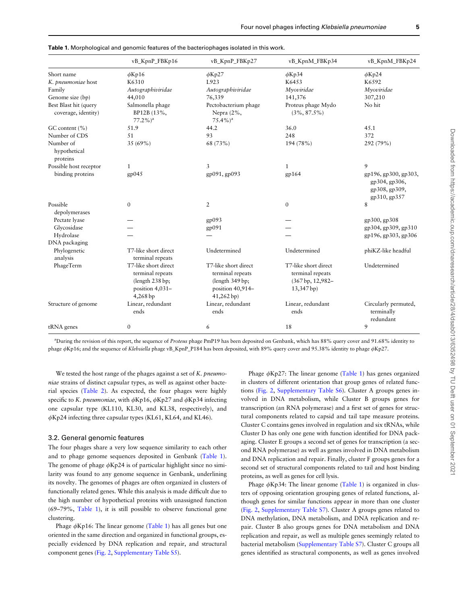|                                              | vB_KpnP_FBKp16                                                                             | vB_KpnP_FBKp27                                                                                  | vB_KpnM_FBKp34                                                             | vB_KpnM_FBKp24                                                         |
|----------------------------------------------|--------------------------------------------------------------------------------------------|-------------------------------------------------------------------------------------------------|----------------------------------------------------------------------------|------------------------------------------------------------------------|
| Short name                                   | $\phi$ Kp16                                                                                | $\phi$ Kp27                                                                                     | $\phi$ Kp34                                                                | $\phi$ Kp24                                                            |
| K. pneumoniae host                           | K6310                                                                                      | L923                                                                                            | K6453                                                                      | K6592                                                                  |
| Family                                       | Autographiviridae                                                                          | Autographiviridae                                                                               | Myoviridae                                                                 | Myoviridae                                                             |
| Genome size (bp)                             | 44,010                                                                                     | 76,339                                                                                          | 141,376                                                                    | 307,210                                                                |
| Best Blast hit (query<br>coverage, identity) | Salmonella phage<br>BP12B (13%,<br>$77.2\%)a$                                              | Pectobacterium phage<br>Nepra (2%,<br>$75.4\%$ <sup>2</sup>                                     | Proteus phage Mydo<br>$(3\%, 87.5\%)$                                      | No hit                                                                 |
| GC content $(\% )$                           | 51.9                                                                                       | 44.2                                                                                            | 36.0                                                                       | 45.1                                                                   |
| Number of CDS                                | 51                                                                                         | 93                                                                                              | 248                                                                        | 372                                                                    |
| Number of<br>hypothetical<br>proteins        | 35 (69%)                                                                                   | 68 (73%)                                                                                        | 194 (78%)                                                                  | 292 (79%)                                                              |
| Possible host receptor                       | $\mathbf{1}$                                                                               | 3                                                                                               | $\mathbf{1}$                                                               | 9                                                                      |
| binding proteins                             | gp045                                                                                      | gp091, gp093                                                                                    | gp164                                                                      | gp196, gp300, gp303,<br>gp304, gp306,<br>gp308, gp309,<br>gp310, gp357 |
| Possible<br>depolymerases                    | $\mathbf{0}$                                                                               | $\overline{2}$                                                                                  | $\mathbf{0}$                                                               | 8                                                                      |
| Pectate lyase                                |                                                                                            | gp093                                                                                           |                                                                            | gp300, gp308                                                           |
| Glycosidase                                  |                                                                                            | gp091                                                                                           |                                                                            | gp304, gp309, gp310                                                    |
| Hydrolase                                    |                                                                                            |                                                                                                 |                                                                            | gp196, gp303, gp306                                                    |
| DNA packaging                                |                                                                                            |                                                                                                 |                                                                            |                                                                        |
| Phylogenetic<br>analysis                     | T7-like short direct<br>terminal repeats                                                   | Undetermined                                                                                    | Undetermined                                                               | phiKZ-like headful                                                     |
| PhageTerm                                    | T7-like short direct<br>terminal repeats<br>(length 238 bp;<br>position 4,031-<br>4,268 bp | T7-like short direct<br>terminal repeats<br>(length 349 bp;<br>position 40,914-<br>$41,262$ bp) | T7-like short direct<br>terminal repeats<br>(367 bp, 12,982-<br>13,347 bp) | Undetermined                                                           |
| Structure of genome                          | Linear, redundant<br>ends                                                                  | Linear, redundant<br>ends                                                                       | Linear, redundant<br>ends                                                  | Circularly permuted,<br>terminally<br>redundant                        |
| tRNA genes                                   | $\mathbf{0}$                                                                               | 6                                                                                               | 18                                                                         | 9                                                                      |

<span id="page-4-0"></span>

|  |  |  |  |  |  |  |  |  |  |  | <b>Table 1.</b> Morphological and genomic features of the bacteriophages isolated in this work. |  |  |  |  |  |  |  |
|--|--|--|--|--|--|--|--|--|--|--|-------------------------------------------------------------------------------------------------|--|--|--|--|--|--|--|
|--|--|--|--|--|--|--|--|--|--|--|-------------------------------------------------------------------------------------------------|--|--|--|--|--|--|--|

<sup>a</sup>During the revision of this report, the sequence of Proteus phage PmP19 has been deposited on Genbank, which has 88% query cover and 91.68% identity to phage  $\phi$ Kp16; and the sequence of Klebsiella phage vB\_KpnP\_P184 has been deposited, with 89% query cover and 95.38% identity to phage  $\phi$ Kp27.

We tested the host range of the phages against a set of K. pneumoniae strains of distinct capsular types, as well as against other bacterial species ([Table 2](#page-5-0)). As expected, the four phages were highly specific to K. pneumoniae, with  $\phi$ Kp16,  $\phi$ Kp27 and  $\phi$ Kp34 infecting one capsular type (KL110, KL30, and KL38, respectively), and  $\phi$ Kp24 infecting three capsular types (KL61, KL64, and KL46).

#### 3.2. General genomic features

The four phages share a very low sequence similarity to each other and to phage genome sequences deposited in Genbank (Table 1). The genome of phage  $\phi$ Kp24 is of particular highlight since no similarity was found to any genome sequence in Genbank, underlining its novelty. The genomes of phages are often organized in clusters of functionally related genes. While this analysis is made difficult due to the high number of hypothetical proteins with unassigned function (69–79%, Table 1), it is still possible to observe functional gene clustering.

Phage  $\phi$ Kp16: The linear genome (Table 1) has all genes but one oriented in the same direction and organized in functional groups, especially evidenced by DNA replication and repair, and structural component genes [\(Fig. 2](#page-6-0), [Supplementary Table S5](https://academic.oup.com/dnaresearch/article-lookup/doi/10.1093/dnares/dsab013#supplementary-data)).

Phage  $\phi$ Kp27: The linear genome (Table 1) has genes organized in clusters of different orientation that group genes of related functions ([Fig. 2,](#page-6-0) [Supplementary Table S6\)](https://academic.oup.com/dnaresearch/article-lookup/doi/10.1093/dnares/dsab013#supplementary-data). Cluster A groups genes involved in DNA metabolism, while Cluster B groups genes for transcription (an RNA polymerase) and a first set of genes for structural components related to capsid and tail tape measure proteins. Cluster C contains genes involved in regulation and six tRNAs, while Cluster D has only one gene with function identified for DNA packaging. Cluster E groups a second set of genes for transcription (a second RNA polymerase) as well as genes involved in DNA metabolism and DNA replication and repair. Finally, cluster F groups genes for a second set of structural components related to tail and host binding proteins, as well as genes for cell lysis.

Phage  $\phi$ Kp34: The linear genome (Table 1) is organized in clusters of opposing orientation grouping genes of related functions, although genes for similar functions appear in more than one cluster ([Fig. 2,](#page-6-0) [Supplementary Table S7](https://academic.oup.com/dnaresearch/article-lookup/doi/10.1093/dnares/dsab013#supplementary-data)). Cluster A groups genes related to DNA methylation, DNA metabolism, and DNA replication and repair. Cluster B also groups genes for DNA metabolism and DNA replication and repair, as well as multiple genes seemingly related to bacterial metabolism ([Supplementary Table S7\)](https://academic.oup.com/dnaresearch/article-lookup/doi/10.1093/dnares/dsab013#supplementary-data). Cluster C groups all genes identified as structural components, as well as genes involved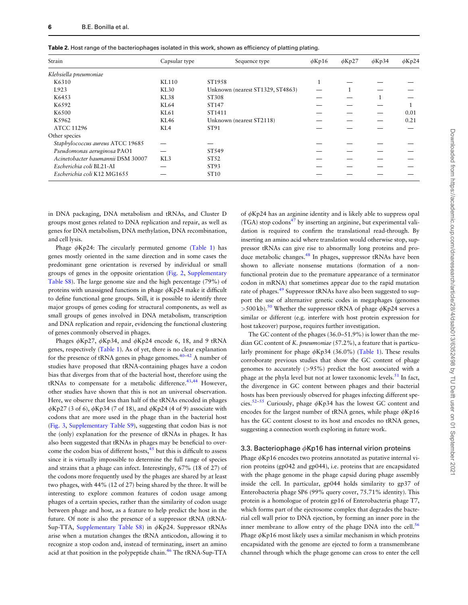| Strain                            | Capsular type | Sequence type                    | $\phi$ Kp16 | $\phi$ Kp27 | $\phi$ Kp34 | $\phi$ Kp24 |
|-----------------------------------|---------------|----------------------------------|-------------|-------------|-------------|-------------|
| Klebsiella pneumoniae             |               |                                  |             |             |             |             |
| K6310                             | KL110         | ST <sub>1958</sub>               | -1          |             |             |             |
| L923                              | KL30          | Unknown (nearest ST1329, ST4863) |             |             |             |             |
| K6453                             | KL38          | ST308                            |             |             |             |             |
| K6592                             | KL64          | ST147                            |             |             |             |             |
| K6500                             | KL61          | ST1411                           |             |             |             | 0.01        |
| K5962                             | KL46          | Unknown (nearest ST2118)         |             |             |             | 0.21        |
| ATCC 11296                        | KL4           | ST <sub>91</sub>                 |             |             |             |             |
| Other species                     |               |                                  |             |             |             |             |
| Staphylococcus aureus ATCC 19685  |               |                                  |             |             |             |             |
| Pseudomonas aeruginosa PAO1       |               | ST549                            |             |             |             |             |
| Acinetobacter baumannii DSM 30007 | KL3           | ST52                             |             |             |             |             |
| Escherichia coli BL21-AI          |               | ST <sub>93</sub>                 |             |             |             |             |
| Escherichia coli K12 MG1655       |               | ST10                             |             |             |             |             |

<span id="page-5-0"></span>Table 2. Host range of the bacteriophages isolated in this work, shown as efficiency of platting plating.

in DNA packaging, DNA metabolism and tRNAs, and Cluster D groups most genes related to DNA replication and repair, as well as genes for DNA metabolism, DNA methylation, DNA recombination, and cell lysis.

Phage  $\phi$ Kp24: The circularly permuted genome ([Table 1\)](#page-4-0) has genes mostly oriented in the same direction and in some cases the predominant gene orientation is reversed by individual or small groups of genes in the opposite orientation [\(Fig. 2,](#page-6-0) [Supplementary](https://academic.oup.com/dnaresearch/article-lookup/doi/10.1093/dnares/dsab013#supplementary-data) [Table S8](https://academic.oup.com/dnaresearch/article-lookup/doi/10.1093/dnares/dsab013#supplementary-data)). The large genome size and the high percentage (79%) of proteins with unassigned functions in phage  $\phi$ Kp24 make it difficult to define functional gene groups. Still, it is possible to identify three major groups of genes coding for structural components, as well as small groups of genes involved in DNA metabolism, transcription and DNA replication and repair, evidencing the functional clustering of genes commonly observed in phages.

Phages  $\phi$ Kp27,  $\phi$ Kp34, and  $\phi$ Kp24 encode 6, 18, and 9 tRNA genes, respectively ([Table 1\)](#page-4-0). As of yet, there is no clear explanation for the presence of tRNA genes in phage genomes.[40–42](#page-10-0) A number of studies have proposed that tRNA-containing phages have a codon bias that diverges from that of the bacterial host, therefore using the  $tRNAs$  to compensate for a metabolic difference.<sup>[43,44](#page-10-0)</sup> However, other studies have shown that this is not an universal observation. Here, we observe that less than half of the tRNAs encoded in phages  $\phi$ Kp27 (3 of 6),  $\phi$ Kp34 (7 of 18), and  $\phi$ Kp24 (4 of 9) associate with codons that are more used in the phage than in the bacterial host ([Fig. 3,](#page-7-0) [Supplementary Table S9\)](https://academic.oup.com/dnaresearch/article-lookup/doi/10.1093/dnares/dsab013#supplementary-data), suggesting that codon bias is not the (only) explanation for the presence of tRNAs in phages. It has also been suggested that tRNAs in phages may be beneficial to overcome the codon bias of different hosts, $45$  but this is difficult to assess since it is virtually impossible to determine the full range of species and strains that a phage can infect. Interestingly, 67% (18 of 27) of the codons more frequently used by the phages are shared by at least two phages, with 44% (12 of 27) being shared by the three. It will be interesting to explore common features of codon usage among phages of a certain species, rather than the similarity of codon usage between phage and host, as a feature to help predict the host in the future. Of note is also the presence of a suppressor tRNA (tRNA-Sup-TTA, [Supplementary Table S8](https://academic.oup.com/dnaresearch/article-lookup/doi/10.1093/dnares/dsab013#supplementary-data)) in  $\phi$ Kp24. Suppressor tRNAs arise when a mutation changes the tRNA anticodon, allowing it to recognize a stop codon and, instead of terminating, insert an amino acid at that position in the polypeptide chain.<sup>[46](#page-10-0)</sup> The  $tRNA-Sup-TTA$ 

of  $\phi$ Kp24 has an arginine identity and is likely able to suppress opal  $(TGA)$  stop codons<sup>[47](#page-10-0)</sup> by inserting an arginine, but experimental validation is required to confirm the translational read-through. By inserting an amino acid where translation would otherwise stop, suppressor tRNAs can give rise to abnormally long proteins and pro-duce metabolic changes.<sup>[48](#page-10-0)</sup> In phages, suppressor tRNAs have been shown to alleviate nonsense mutations (formation of a nonfunctional protein due to the premature appearance of a terminator codon in mRNA) that sometimes appear due to the rapid mutation rate of phages.<sup>49</sup> Suppressor tRNAs have also been suggested to support the use of alternative genetic codes in megaphages (genomes  $>500$  $>500$  $>500$  kb).<sup>50</sup> Whether the suppressor tRNA of phage  $\phi$ Kp24 serves a similar or different (e.g. interfere with host protein expression for host takeover) purpose, requires further investigation.

The GC content of the phages (36.0–51.9%) is lower than the median GC content of K. pneumoniae (57.2%), a feature that is particularly prominent for phage  $\phi$ Kp34 (36.0%) [\(Table 1\)](#page-4-0). These results corroborate previous studies that show the GC content of phage genomes to accurately (>95%) predict the host associated with a phage at the phyla level but not at lower taxonomic levels.<sup>51</sup> In fact, the divergence in GC content between phages and their bacterial hosts has been previously observed for phages infecting different spe-cies.<sup>[52–55](#page-10-0)</sup> Curiously, phage  $\phi$ Kp34 has the lowest GC content and encodes for the largest number of tRNA genes, while phage  $\phi$ Kp16 has the GC content closest to its host and encodes no tRNA genes, suggesting a connection worth exploring in future work.

#### 3.3. Bacteriophage  $\phi$ Kp16 has internal virion proteins

Phage  $\phi$ Kp16 encodes two proteins annotated as putative internal virion proteins (gp042 and gp044), i.e. proteins that are encapsidated with the phage genome in the phage capsid during phage assembly inside the cell. In particular, gp044 holds similarity to gp37 of Enterobacteria phage SP6 (99% query cover, 75.71% identity). This protein is a homologue of protein gp16 of Enterobacteria phage T7, which forms part of the ejectosome complex that degrades the bacterial cell wall prior to DNA ejection, by forming an inner pore in the inner membrane to allow entry of the phage DNA into the cell.<sup>[56](#page-10-0)</sup> Phage  $\phi$ Kp16 most likely uses a similar mechanism in which proteins encapsidated with the genome are ejected to form a transmembrane channel through which the phage genome can cross to enter the cell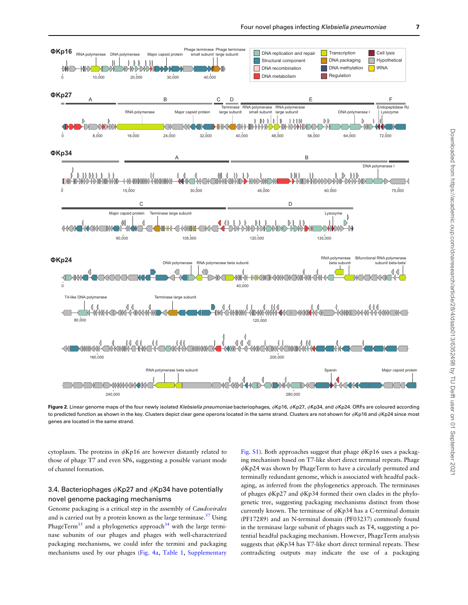<span id="page-6-0"></span>

Downloaded from https://academic.oup.com/dnaresearch/article/28/4/dsab013/6352498 by TU Defft user on 01 September 202

Downloaded from https://academic.oup.com/dnaresearch/article/28/4/dsab013/6352498 by TU Delft user on 01 September 2021

to predicted function as shown in the key. Clusters depict clear gene operons located in the same strand. Clusters are not shown for  $\phi Kp16$  and  $\phi Kp24$  since most genes are located in the same strand.

cytoplasm. The proteins in  $\phi$ Kp16 are however distantly related to those of phage T7 and even SP6, suggesting a possible variant mode of channel formation.

# 3.4. Bacteriophages  $\phi$ Kp27 and  $\phi$ Kp34 have potentially novel genome packaging mechanisms

Genome packaging is a critical step in the assembly of Caudovirales and is carried out by a protein known as the large terminase. $57$  Using PhageTerm<sup>[35](#page-10-0)</sup> and a phylogenetics approach<sup>34</sup> with the large terminase subunits of our phages and phages with well-characterized packaging mechanisms, we could infer the termini and packaging mechanisms used by our phages [\(Fig. 4a,](#page-8-0) [Table 1](#page-4-0), [Supplementary](https://academic.oup.com/dnaresearch/article-lookup/doi/10.1093/dnares/dsab013#supplementary-data)

[Fig. S1](https://academic.oup.com/dnaresearch/article-lookup/doi/10.1093/dnares/dsab013#supplementary-data)). Both approaches suggest that phage  $\phi$ Kp16 uses a packaging mechanism based on T7-like short direct terminal repeats. Phage  $\phi$ Kp24 was shown by PhageTerm to have a circularly permuted and terminally redundant genome, which is associated with headful packaging, as inferred from the phylogenetics approach. The terminases of phages  $\phi$ Kp27 and  $\phi$ Kp34 formed their own clades in the phylogenetic tree, suggesting packaging mechanisms distinct from those currently known. The terminase of  $\phi$ Kp34 has a C-terminal domain (PF17289) and an N-terminal domain (PF03237) commonly found in the terminase large subunit of phages such as T4, suggesting a potential headful packaging mechanism. However, PhageTerm analysis suggests that  $\phi$ Kp34 has T7-like short direct terminal repeats. These contradicting outputs may indicate the use of a packaging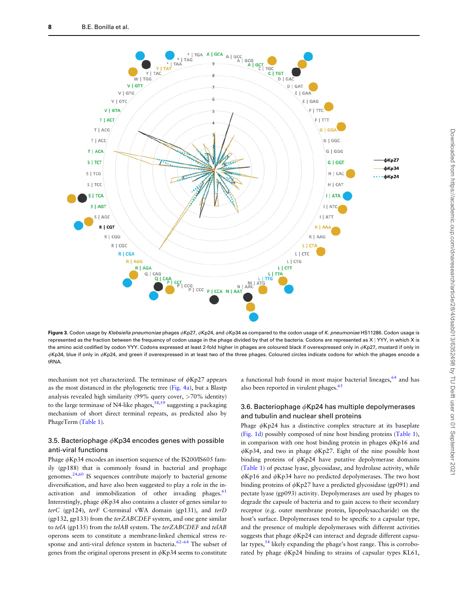<span id="page-7-0"></span>

Figure 3. Codon usage by Klebsiella pneumoniae phages  $\phi$ Kp27,  $\phi$ Kp24, and  $\phi$ Kp34 as compared to the codon usage of K. pneumoniae HS11286. Codon usage is represented as the fraction between the frequency of codon usage in the phage divided by that of the bacteria. Codons are represented as X | YYY, in which X is the amino acid codified by codon YYY. Codons expressed at least 2-fold higher in phages are coloured black if overexpressed only in  $\phi$ Kp27, mustard if only in /Kp34, blue if only in /Kp24, and green if overexpressed in at least two of the three phages. Coloured circles indicate codons for which the phages encode a tRNA.

mechanism not yet characterized. The terminase of  $\phi$ Kp27 appears as the most distanced in the phylogenetic tree ([Fig. 4a](#page-8-0)), but a Blastp analysis revealed high similarity (99% query cover, >70% identity) to the large terminase of N4-like phages,  $58,59$  $58,59$  suggesting a packaging mechanism of short direct terminal repeats, as predicted also by PhageTerm [\(Table 1\)](#page-4-0).

# 3.5. Bacteriophage  $\phi$ Kp34 encodes genes with possible anti-viral functions

Phage  $\phi$ Kp34 encodes an insertion sequence of the IS200/IS605 family (gp188) that is commonly found in bacterial and prophage genomes. $24,60$  $24,60$  $24,60$  IS sequences contribute majorly to bacterial genome diversification, and have also been suggested to play a role in the inactivation and immobilization of other invading phages. $61$ Interestingly, phage  $\phi$ Kp34 also contains a cluster of genes similar to terC (gp124), terF C-terminal vWA domain (gp131), and terD (gp132, gp133) from the terZABCDEF system, and one gene similar to telA (gp135) from the telAB system. The terZABCDEF and telAB operons seem to constitute a membrane-linked chemical stress response and anti-viral defence system in bacteria.<sup>62-64</sup> The subset of genes from the original operons present in  $\phi$ Kp34 seems to constitute a functional hub found in most major bacterial lineages,  $64$  and has also been reported in virulent phages. $65$ 

# 3.6. Bacteriophage  $\phi$ Kp24 has multiple depolymerases and tubulin and nuclear shell proteins

Phage  $\phi$ Kp24 has a distinctive complex structure at its baseplate ([Fig. 1d\)](#page-3-0) possibly composed of nine host binding proteins [\(Table 1](#page-4-0)), in comparison with one host binding protein in phages  $\phi$ Kp16 and  $\phi$ Kp34, and two in phage  $\phi$ Kp27. Eight of the nine possible host binding proteins of  $\phi$ Kp24 have putative depolymerase domains ([Table 1](#page-4-0)) of pectase lyase, glycosidase, and hydrolase activity, while  $\phi$ Kp16 and  $\phi$ Kp34 have no predicted depolymerases. The two host binding proteins of  $\phi$ Kp27 have a predicted glycosidase (gp091) and pectate lyase (gp093) activity. Depolymerases are used by phages to degrade the capsule of bacteria and to gain access to their secondary receptor (e.g. outer membrane protein, lipopolysaccharide) on the host's surface. Depolymerases tend to be specific to a capsular type, and the presence of multiple depolymerases with different activities suggests that phage  $\phi$ Kp24 can interact and degrade different capsular types,  $54$  likely expanding the phage's host range. This is corroborated by phage  $\phi$ Kp24 binding to strains of capsular types KL61,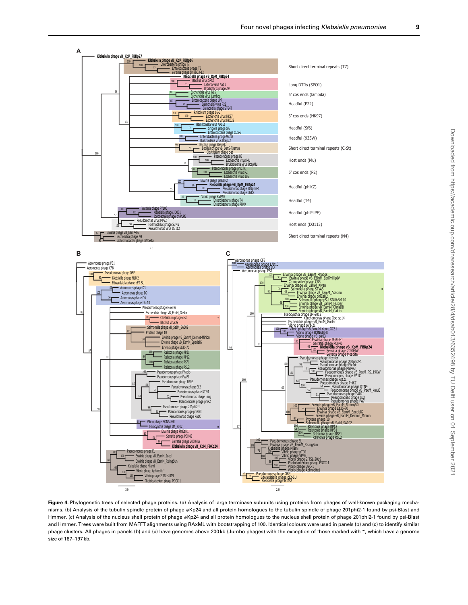<span id="page-8-0"></span>

Figure 4. Phylogenetic trees of selected phage proteins. (a) Analysis of large terminase subunits using proteins from phages of well-known packaging mechanisms. (b) Analysis of the tubulin spindle protein of phage  $\phi$ Kp24 and all protein homologues to the tubulin spindle of phage 201phi2-1 found by psi-Blast and Hmmer. (c) Analysis of the nucleus shell protein of phage  $\phi$ Kp24 and all protein homologues to the nucleus shell protein of phage 201phi2-1 found by psi-Blast and Hmmer. Trees were built from MAFFT alignments using RAxML with bootstrapping of 100. Identical colours were used in panels (b) and (c) to identify similar phage clusters. All phages in panels (b) and (c) have genomes above 200 kb (Jumbo phages) with the exception of those marked with \*, which have a genome size of 167–197 kb.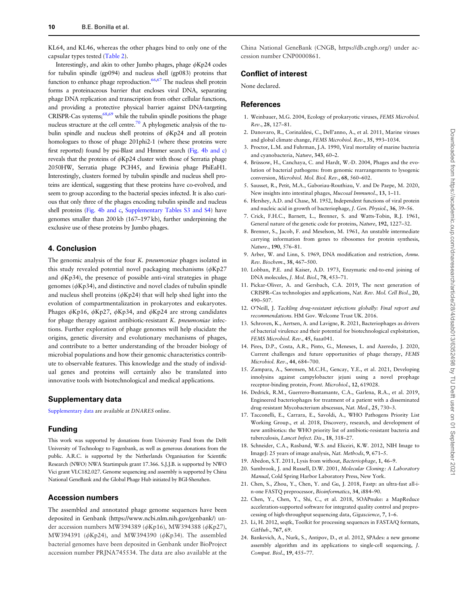<span id="page-9-0"></span>KL64, and KL46, whereas the other phages bind to only one of the capsular types tested [\(Table 2](#page-5-0)).

Interestingly, and akin to other Jumbo phages, phage  $\phi$ Kp24 codes for tubulin spindle (gp094) and nucleus shell (gp083) proteins that function to enhance phage reproduction.<sup>[66,67](#page-10-0)</sup> The nucleus shell protein forms a proteinaceous barrier that encloses viral DNA, separating phage DNA replication and transcription from other cellular functions, and providing a protective physical barrier against DNA-targeting CRISPR-Cas systems; $68,69$  while the tubulin spindle positions the phage nucleus structure at the cell centre.<sup>70</sup> A phylogenetic analysis of the tubulin spindle and nucleus shell proteins of  $\phi$ Kp24 and all protein homologues to those of phage 201phi2-1 (where these proteins were first reported) found by psi-Blast and Hmmer search [\(Fig. 4b and c](#page-8-0)) reveals that the proteins of  $\phi$ Kp24 cluster with those of Serratia phage 2050HW, Serratia phage PCH45, and Erwinia phage PhiEaH1. Interestingly, clusters formed by tubulin spindle and nucleus shell proteins are identical, suggesting that these proteins have co-evolved, and seem to group according to the bacterial species infected. It is also curious that only three of the phages encoding tubulin spindle and nucleus shell proteins [\(Fig. 4b and c,](#page-8-0) [Supplementary Tables S3 and S4\)](https://academic.oup.com/dnaresearch/article-lookup/doi/10.1093/dnares/dsab013#supplementary-data) have genomes smaller than 200 kb (167–197 kb), further underpinning the exclusive use of these proteins by Jumbo phages.

### 4. Conclusion

The genomic analysis of the four K. *pneumoniae* phages isolated in this study revealed potential novel packaging mechanisms  $(\phi Kp27)$ and  $\phi$ Kp34), the presence of possible anti-viral strategies in phage genomes ( $\phi$ Kp34), and distinctive and novel clades of tubulin spindle and nucleus shell proteins ( $\phi$ Kp24) that will help shed light into the evolution of compartmentalization in prokaryotes and eukaryotes. Phages  $\phi$ Kp16,  $\phi$ Kp27,  $\phi$ Kp34, and  $\phi$ Kp24 are strong candidates for phage therapy against antibiotic-resistant K. pneumoniae infections. Further exploration of phage genomes will help elucidate the origins, genetic diversity and evolutionary mechanisms of phages, and contribute to a better understanding of the broader biology of microbial populations and how their genomic characteristics contribute to observable features. This knowledge and the study of individual genes and proteins will certainly also be translated into innovative tools with biotechnological and medical applications.

### Supplementary data

[Supplementary data](https://academic.oup.com/dnaresearch/article-lookup/doi/10.1093/dnares/dsab013#supplementary-data) are available at DNARES online.

#### Funding

This work was supported by donations from University Fund from the Delft University of Technology to Fagenbank, as well as generous donations from the public. A.R.C. is supported by the Netherlands Organisation for Scientific Research (NWO) NWA Startimpuls grant 17.366. S.J.J.B. is supported by NWO Vici grant VI.C182.027. Genome sequencing and assembly is supported by China National GeneBank and the Global Phage Hub initiated by BGI-Shenzhen.

# Accession numbers

The assembled and annotated phage genome sequences have been deposited in Genbank ([https://www.ncbi.nlm.nih.gov/genbank/\)](https://www.ncbi.nlm.nih.gov/genbank/) under accession numbers MW394389 ( $\phi$ Kp16), MW394388 ( $\phi$ Kp27), MW394391 ( $\phi$ Kp24), and MW394390 ( $\phi$ Kp34). The assembled bacterial genomes have been deposited in Genbank under BioProject accession number PRJNA745534. The data are also available at the

China National GeneBank (CNGB, [https://db.cngb.org/\)](https://db.cngb.org/) under accession number CNP0000861.

# Conflict of interest

None declared.

#### **References**

- 1. Weinbauer, M.G. 2004, Ecology of prokaryotic viruses, FEMS Microbiol. Rev., 28, 127–81.
- 2. Danovaro, R., Corinaldesi, C., Dell'anno, A., et al. 2011, Marine viruses and global climate change, FEMS Microbiol. Rev., 35, 993–1034.
- 3. Proctor, L.M. and Fuhrman, J.A. 1990, Viral mortality of marine bacteria and cyanobacteria, Nature, 343, 60–2.
- [4](#page-1-0). Brüssow, H., Canchaya, C. and Hardt, W.-D. 2004, Phages and the evolution of bacterial pathogens: from genomic rearrangements to lysogenic conversion, Microbiol. Mol. Biol. Rev., 68, 560–602.
- [5](#page-1-0). Sausset, R., Petit, M.A., Gaboriau-Routhiau, V. and De Paepe, M. 2020, New insights into intestinal phages, Mucosal Immunol., 13, 1–11.
- [6](#page-1-0). Hershey, A.D. and Chase, M. 1952, Independent functions of viral protein and nucleic acid in growth of bacteriophage, J. Gen. Physiol., 36, 39–56.
- [7](#page-1-0). Crick, F.H.C., Barnett, L., Brenner, S. and Watts-Tobin, R.J. 1961, General nature of the genetic code for proteins, Nature, 192, 1227–32.
- [8](#page-1-0). Brenner, S., Jacob, F. and Meselson, M. 1961, An unstable intermediate carrying information from genes to ribosomes for protein synthesis, Nature., 190, 576–81.
- [9](#page-1-0). Arber, W. and Linn, S. 1969, DNA modification and restriction, Annu. Rev. Biochem., 38, 467–500.
- [10](#page-1-0). Lobban, P.E. and Kaiser, A.D. 1973, Enzymatic end-to-end joining of DNA molecules, J. Mol. Biol., 78, 453–71.
- [11](#page-1-0). Pickar-Oliver, A. and Gersbach, C.A. 2019, The next generation of CRISPR–Cas technologies and applications, Nat. Rev. Mol. Cell Biol., 20, 490–507.
- 12. O'Neill, J. Tackling drug-resistant infections globally: Final report and recommendations. HM Gov. Welcome Trust UK. 2016.
- 13. Schroven, K., Aertsen, A. and Lavigne, R. 2021, Bacteriophages as drivers of bacterial virulence and their potential for biotechnological exploitation, FEMS Microbiol. Rev., 45, fuaa041.
- 14. Pires, D.P., Costa, A.R., Pinto, G., Meneses, L. and Azeredo, J. 2020, Current challenges and future opportunities of phage therapy, FEMS Microbiol. Rev., 44, 684–700.
- [15](#page-1-0). Zampara, A., Sørensen, M.C.H., Gencay, Y.E., et al. 2021, Developing innolysins against campylobacter jejuni using a novel prophage receptor-binding protein, Front. Microbiol., 12, 619028.
- [16](#page-1-0). Dedrick, R.M., Guerrero-Bustamante, C.A., Garlena, R.A., et al. 2019, Engineered bacteriophages for treatment of a patient with a disseminated drug-resistant Mycobacterium abscessus, Nat. Med., 25, 730–3.
- [17](#page-1-0). Tacconelli, E., Carrara, E., Savoldi, A., WHO Pathogens Priority List Working Group., et al. 2018, Discovery, research, and development of new antibiotics: the WHO priority list of antibiotic-resistant bacteria and tuberculosis, Lancet Infect. Dis., 18, 318–27.
- [18](#page-1-0). Schneider, C.A., Rasband, W.S. and Eliceiri, K.W. 2012, NIH Image to ImageJ: 25 years of image analysis, Nat. Methods, 9, 671–5.
- [19](#page-1-0). Abedon, S.T. 2011, Lysis from without, Bacteriophage, 1, 46–9.
- [20](#page-2-0). Sambrook, J. and Russell, D.W. 2001, Molecular Cloning: A Laboratory Manual, Cold Spring Harbor Laboratory Press, New York.
- [21](#page-2-0). Chen, S., Zhou, Y., Chen, Y. and Gu, J. 2018, Fastp: an ultra-fast all-in-one FASTQ preprocessor, Bioinformatics, 34, i884–90.
- [22](#page-2-0). Chen, Y., Chen, Y., Shi, C., et al. 2018, SOAPnuke: a MapReduce acceleration-supported software for integrated quality control and preprocessing of high-throughput sequencing data, Gigascience, 7, 1–6.
- [23](#page-2-0). Li, H. 2012, seqtk, Toolkit for processing sequences in FASTA/Q formats, GitHub., 767, 69.
- [24](#page-2-0). Bankevich, A., Nurk, S., Antipov, D., et al. 2012, SPAdes: a new genome assembly algorithm and its applications to single-cell sequencing, J. Comput. Biol., 19, 455–77.